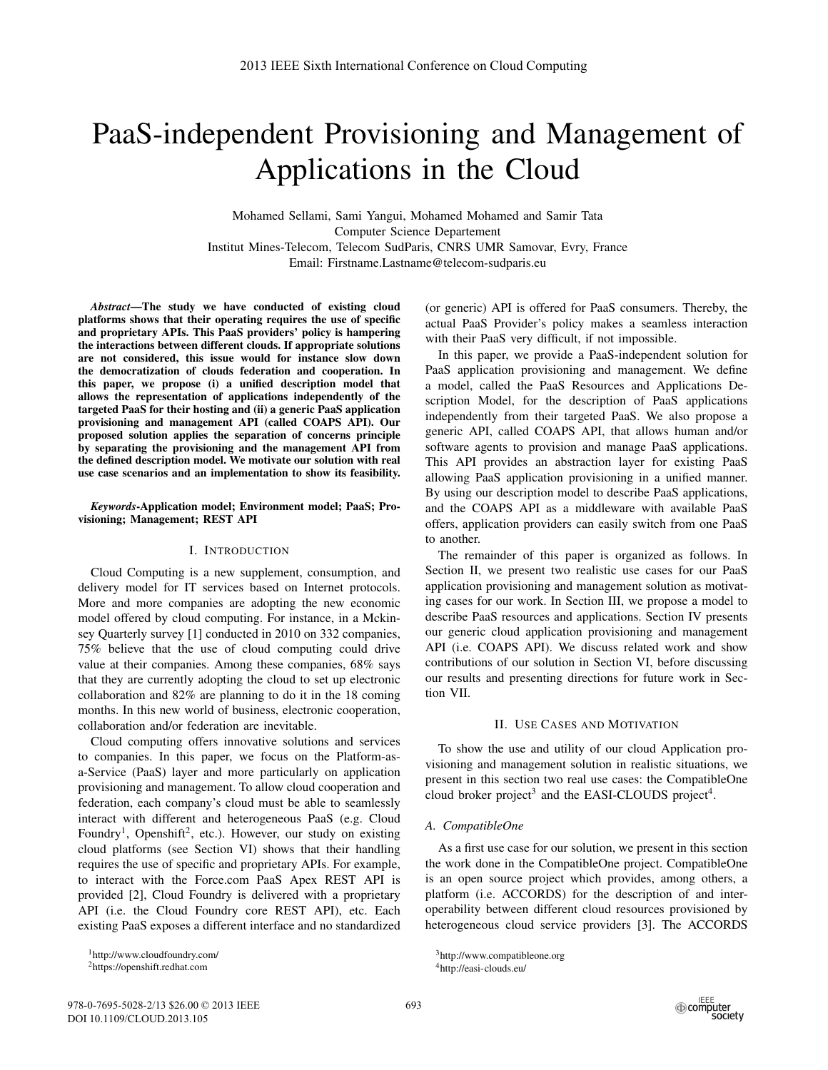# PaaS-independent Provisioning and Management of Applications in the Cloud

Mohamed Sellami, Sami Yangui, Mohamed Mohamed and Samir Tata Computer Science Departement Institut Mines-Telecom, Telecom SudParis, CNRS UMR Samovar, Evry, France Email: Firstname.Lastname@telecom-sudparis.eu

*Abstract*—The study we have conducted of existing cloud platforms shows that their operating requires the use of specific and proprietary APIs. This PaaS providers' policy is hampering the interactions between different clouds. If appropriate solutions are not considered, this issue would for instance slow down the democratization of clouds federation and cooperation. In this paper, we propose (i) a unified description model that allows the representation of applications independently of the targeted PaaS for their hosting and (ii) a generic PaaS application provisioning and management API (called COAPS API). Our proposed solution applies the separation of concerns principle by separating the provisioning and the management API from the defined description model. We motivate our solution with real use case scenarios and an implementation to show its feasibility.

#### *Keywords*-Application model; Environment model; PaaS; Provisioning; Management; REST API

## I. INTRODUCTION

Cloud Computing is a new supplement, consumption, and delivery model for IT services based on Internet protocols. More and more companies are adopting the new economic model offered by cloud computing. For instance, in a Mckinsey Quarterly survey [1] conducted in 2010 on 332 companies, 75% believe that the use of cloud computing could drive value at their companies. Among these companies, 68% says that they are currently adopting the cloud to set up electronic collaboration and 82% are planning to do it in the 18 coming months. In this new world of business, electronic cooperation, collaboration and/or federation are inevitable.

Cloud computing offers innovative solutions and services to companies. In this paper, we focus on the Platform-asa-Service (PaaS) layer and more particularly on application provisioning and management. To allow cloud cooperation and federation, each company's cloud must be able to seamlessly interact with different and heterogeneous PaaS (e.g. Cloud Foundry<sup>1</sup>, Openshift<sup>2</sup>, etc.). However, our study on existing cloud platforms (see Section VI) shows that their handling requires the use of specific and proprietary APIs. For example, to interact with the Force.com PaaS Apex REST API is provided [2], Cloud Foundry is delivered with a proprietary API (i.e. the Cloud Foundry core REST API), etc. Each existing PaaS exposes a different interface and no standardized (or generic) API is offered for PaaS consumers. Thereby, the actual PaaS Provider's policy makes a seamless interaction with their PaaS very difficult, if not impossible.

In this paper, we provide a PaaS-independent solution for PaaS application provisioning and management. We define a model, called the PaaS Resources and Applications Description Model, for the description of PaaS applications independently from their targeted PaaS. We also propose a generic API, called COAPS API, that allows human and/or software agents to provision and manage PaaS applications. This API provides an abstraction layer for existing PaaS allowing PaaS application provisioning in a unified manner. By using our description model to describe PaaS applications, and the COAPS API as a middleware with available PaaS offers, application providers can easily switch from one PaaS to another.

The remainder of this paper is organized as follows. In Section II, we present two realistic use cases for our PaaS application provisioning and management solution as motivating cases for our work. In Section III, we propose a model to describe PaaS resources and applications. Section IV presents our generic cloud application provisioning and management API (i.e. COAPS API). We discuss related work and show contributions of our solution in Section VI, before discussing our results and presenting directions for future work in Section VII.

#### II. USE CASES AND MOTIVATION

To show the use and utility of our cloud Application provisioning and management solution in realistic situations, we present in this section two real use cases: the CompatibleOne cloud broker project<sup>3</sup> and the EASI-CLOUDS project<sup>4</sup>.

#### *A. CompatibleOne*

As a first use case for our solution, we present in this section the work done in the CompatibleOne project. CompatibleOne is an open source project which provides, among others, a platform (i.e. ACCORDS) for the description of and interoperability between different cloud resources provisioned by heterogeneous cloud service providers [3]. The ACCORDS

<sup>1</sup>http://www.cloudfoundry.com/ 2https://openshift.redhat.com

<sup>3</sup>http://www.compatibleone.org 4http://easi-clouds.eu/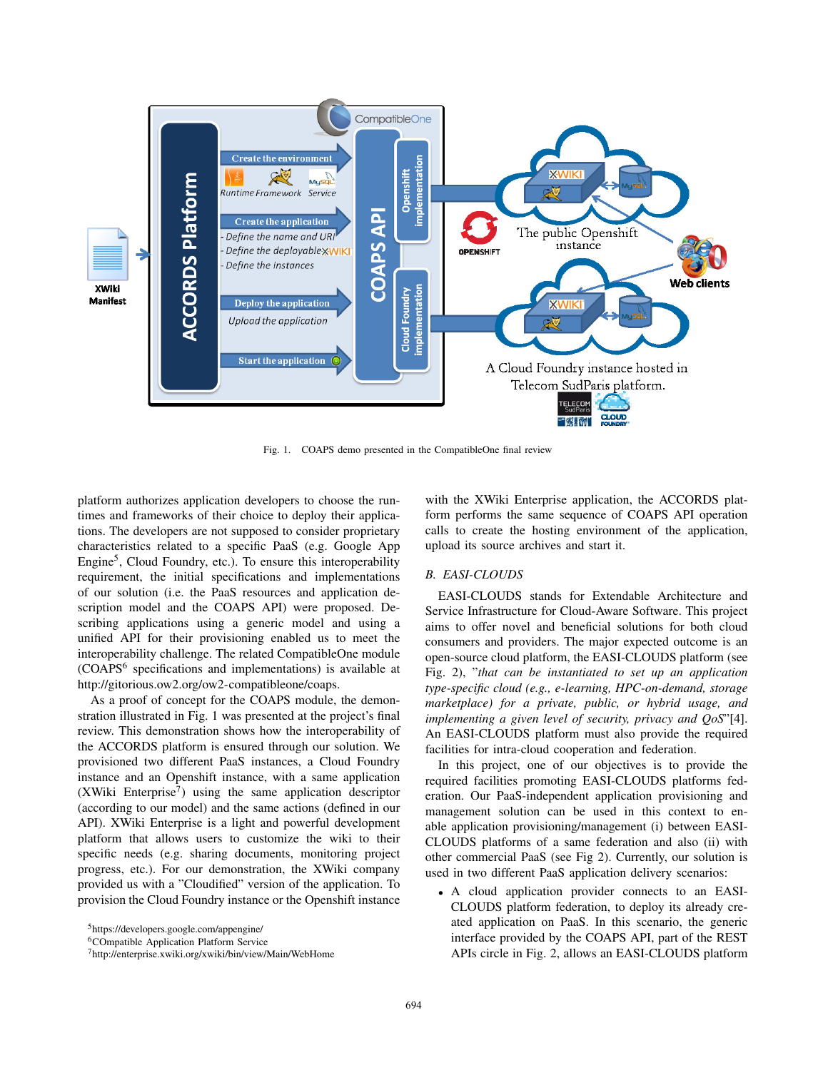

Fig. 1. COAPS demo presented in the CompatibleOne final review

platform authorizes application developers to choose the runtimes and frameworks of their choice to deploy their applications. The developers are not supposed to consider proprietary characteristics related to a specific PaaS (e.g. Google App Engine<sup>5</sup>, Cloud Foundry, etc.). To ensure this interoperability requirement, the initial specifications and implementations of our solution (i.e. the PaaS resources and application description model and the COAPS API) were proposed. Describing applications using a generic model and using a unified API for their provisioning enabled us to meet the interoperability challenge. The related CompatibleOne module (COAPS<sup>6</sup> specifications and implementations) is available at http://gitorious.ow2.org/ow2-compatibleone/coaps.

As a proof of concept for the COAPS module, the demonstration illustrated in Fig. 1 was presented at the project's final review. This demonstration shows how the interoperability of the ACCORDS platform is ensured through our solution. We provisioned two different PaaS instances, a Cloud Foundry instance and an Openshift instance, with a same application (XWiki Enterprise7) using the same application descriptor (according to our model) and the same actions (defined in our API). XWiki Enterprise is a light and powerful development platform that allows users to customize the wiki to their specific needs (e.g. sharing documents, monitoring project progress, etc.). For our demonstration, the XWiki company provided us with a "Cloudified" version of the application. To provision the Cloud Foundry instance or the Openshift instance

with the XWiki Enterprise application, the ACCORDS platform performs the same sequence of COAPS API operation calls to create the hosting environment of the application, upload its source archives and start it.

## *B. EASI-CLOUDS*

EASI-CLOUDS stands for Extendable Architecture and Service Infrastructure for Cloud-Aware Software. This project aims to offer novel and beneficial solutions for both cloud consumers and providers. The major expected outcome is an open-source cloud platform, the EASI-CLOUDS platform (see Fig. 2), "*that can be instantiated to set up an application type-specific cloud (e.g., e-learning, HPC-on-demand, storage marketplace) for a private, public, or hybrid usage, and implementing a given level of security, privacy and QoS*"[4]. An EASI-CLOUDS platform must also provide the required facilities for intra-cloud cooperation and federation.

In this project, one of our objectives is to provide the required facilities promoting EASI-CLOUDS platforms federation. Our PaaS-independent application provisioning and management solution can be used in this context to enable application provisioning/management (i) between EASI-CLOUDS platforms of a same federation and also (ii) with other commercial PaaS (see Fig 2). Currently, our solution is used in two different PaaS application delivery scenarios:

• A cloud application provider connects to an EASI-CLOUDS platform federation, to deploy its already created application on PaaS. In this scenario, the generic interface provided by the COAPS API, part of the REST APIs circle in Fig. 2, allows an EASI-CLOUDS platform

<sup>5</sup>https://developers.google.com/appengine/

<sup>6</sup>COmpatible Application Platform Service

<sup>7</sup>http://enterprise.xwiki.org/xwiki/bin/view/Main/WebHome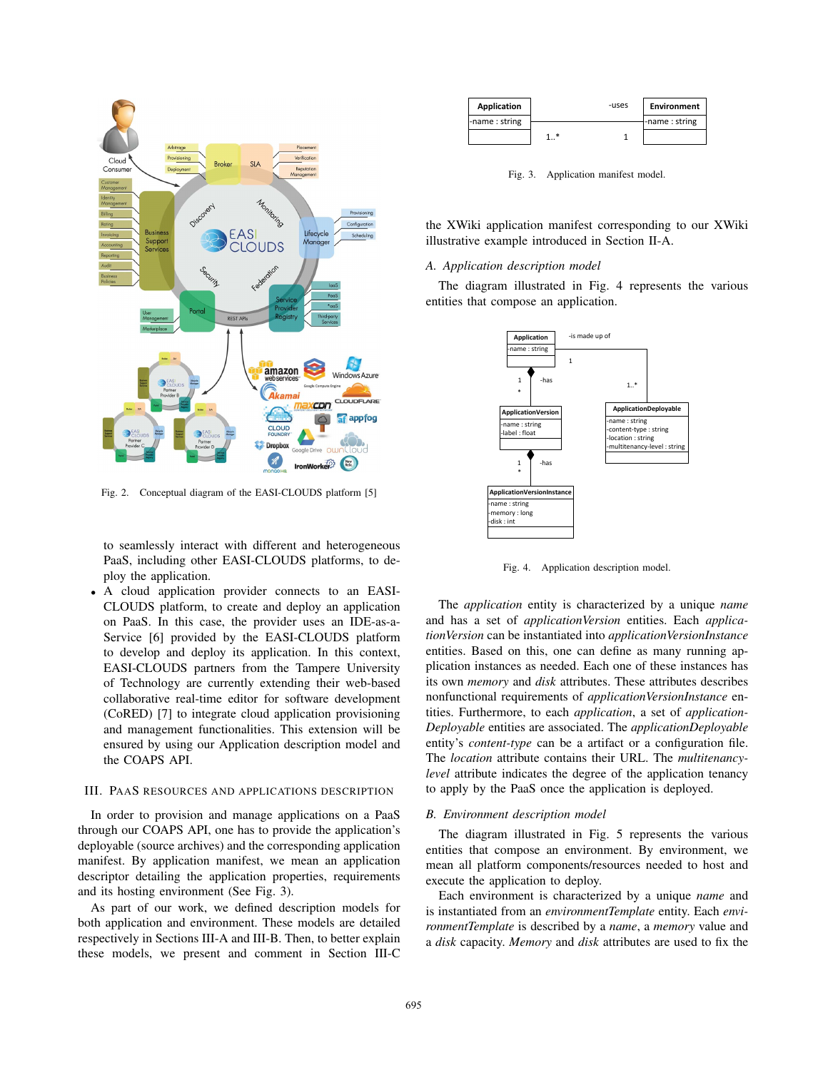

Fig. 2. Conceptual diagram of the EASI-CLOUDS platform [5]

to seamlessly interact with different and heterogeneous PaaS, including other EASI-CLOUDS platforms, to deploy the application.

• A cloud application provider connects to an EASI-CLOUDS platform, to create and deploy an application on PaaS. In this case, the provider uses an IDE-as-a-Service [6] provided by the EASI-CLOUDS platform to develop and deploy its application. In this context, EASI-CLOUDS partners from the Tampere University of Technology are currently extending their web-based collaborative real-time editor for software development (CoRED) [7] to integrate cloud application provisioning and management functionalities. This extension will be ensured by using our Application description model and the COAPS API.

# III. PAAS RESOURCES AND APPLICATIONS DESCRIPTION

In order to provision and manage applications on a PaaS through our COAPS API, one has to provide the application's deployable (source archives) and the corresponding application manifest. By application manifest, we mean an application descriptor detailing the application properties, requirements and its hosting environment (See Fig. 3).

As part of our work, we defined description models for both application and environment. These models are detailed respectively in Sections III-A and III-B. Then, to better explain these models, we present and comment in Section III-C

| <b>Application</b> | -uses | <b>Environment</b> |
|--------------------|-------|--------------------|
| -name: string      |       | I-name: string     |
|                    |       |                    |

Fig. 3. Application manifest model.

the XWiki application manifest corresponding to our XWiki illustrative example introduced in Section II-A.

## *A. Application description model*

The diagram illustrated in Fig. 4 represents the various entities that compose an application.



Fig. 4. Application description model.

The *application* entity is characterized by a unique *name* and has a set of *applicationVersion* entities. Each *applicationVersion* can be instantiated into *applicationVersionInstance* entities. Based on this, one can define as many running application instances as needed. Each one of these instances has its own *memory* and *disk* attributes. These attributes describes nonfunctional requirements of *applicationVersionInstance* entities. Furthermore, to each *application*, a set of *application-Deployable* entities are associated. The *applicationDeployable* entity's *content-type* can be a artifact or a configuration file. The *location* attribute contains their URL. The *multitenancylevel* attribute indicates the degree of the application tenancy to apply by the PaaS once the application is deployed.

#### *B. Environment description model*

The diagram illustrated in Fig. 5 represents the various entities that compose an environment. By environment, we mean all platform components/resources needed to host and execute the application to deploy.

Each environment is characterized by a unique *name* and is instantiated from an *environmentTemplate* entity. Each *environmentTemplate* is described by a *name*, a *memory* value and a *disk* capacity. *Memory* and *disk* attributes are used to fix the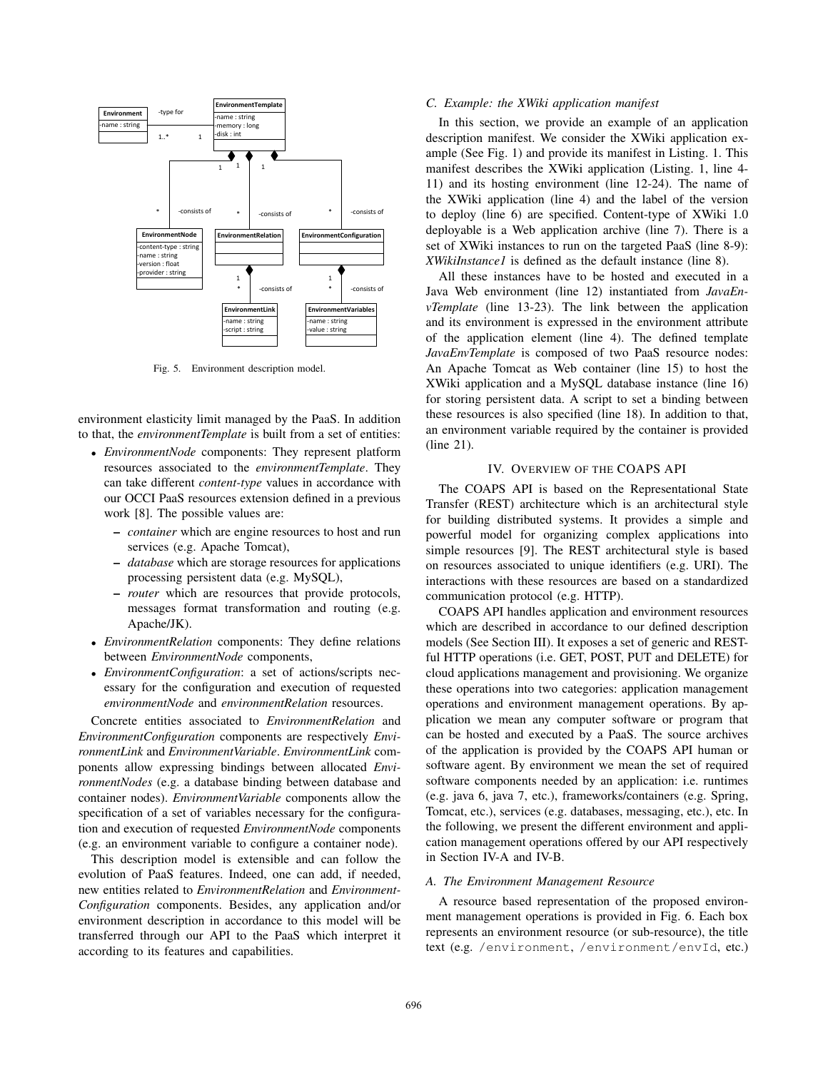

Fig. 5. Environment description model.

environment elasticity limit managed by the PaaS. In addition to that, the *environmentTemplate* is built from a set of entities:

- *EnvironmentNode* components: They represent platform resources associated to the *environmentTemplate*. They can take different *content-type* values in accordance with our OCCI PaaS resources extension defined in a previous work [8]. The possible values are:
	- *container* which are engine resources to host and run services (e.g. Apache Tomcat),
	- *database* which are storage resources for applications processing persistent data (e.g. MySQL),
	- *router* which are resources that provide protocols, messages format transformation and routing (e.g. Apache/JK).
- *EnvironmentRelation* components: They define relations between *EnvironmentNode* components,
- *EnvironmentConfiguration*: a set of actions/scripts necessary for the configuration and execution of requested *environmentNode* and *environmentRelation* resources.

Concrete entities associated to *EnvironmentRelation* and *EnvironmentConfiguration* components are respectively *EnvironmentLink* and *EnvironmentVariable*. *EnvironmentLink* components allow expressing bindings between allocated *EnvironmentNodes* (e.g. a database binding between database and container nodes). *EnvironmentVariable* components allow the specification of a set of variables necessary for the configuration and execution of requested *EnvironmentNode* components (e.g. an environment variable to configure a container node).

This description model is extensible and can follow the evolution of PaaS features. Indeed, one can add, if needed, new entities related to *EnvironmentRelation* and *Environment-Configuration* components. Besides, any application and/or environment description in accordance to this model will be transferred through our API to the PaaS which interpret it according to its features and capabilities.

## *C. Example: the XWiki application manifest*

In this section, we provide an example of an application description manifest. We consider the XWiki application example (See Fig. 1) and provide its manifest in Listing. 1. This manifest describes the XWiki application (Listing. 1, line 4- 11) and its hosting environment (line 12-24). The name of the XWiki application (line 4) and the label of the version to deploy (line 6) are specified. Content-type of XWiki 1.0 deployable is a Web application archive (line 7). There is a set of XWiki instances to run on the targeted PaaS (line 8-9): *XWikiInstance1* is defined as the default instance (line 8).

All these instances have to be hosted and executed in a Java Web environment (line 12) instantiated from *JavaEnvTemplate* (line 13-23). The link between the application and its environment is expressed in the environment attribute of the application element (line 4). The defined template *JavaEnvTemplate* is composed of two PaaS resource nodes: An Apache Tomcat as Web container (line 15) to host the XWiki application and a MySQL database instance (line 16) for storing persistent data. A script to set a binding between these resources is also specified (line 18). In addition to that, an environment variable required by the container is provided (line 21).

## IV. OVERVIEW OF THE COAPS API

The COAPS API is based on the Representational State Transfer (REST) architecture which is an architectural style for building distributed systems. It provides a simple and powerful model for organizing complex applications into simple resources [9]. The REST architectural style is based on resources associated to unique identifiers (e.g. URI). The interactions with these resources are based on a standardized communication protocol (e.g. HTTP).

COAPS API handles application and environment resources which are described in accordance to our defined description models (See Section III). It exposes a set of generic and RESTful HTTP operations (i.e. GET, POST, PUT and DELETE) for cloud applications management and provisioning. We organize these operations into two categories: application management operations and environment management operations. By application we mean any computer software or program that can be hosted and executed by a PaaS. The source archives of the application is provided by the COAPS API human or software agent. By environment we mean the set of required software components needed by an application: i.e. runtimes (e.g. java 6, java 7, etc.), frameworks/containers (e.g. Spring, Tomcat, etc.), services (e.g. databases, messaging, etc.), etc. In the following, we present the different environment and application management operations offered by our API respectively in Section IV-A and IV-B.

#### *A. The Environment Management Resource*

A resource based representation of the proposed environment management operations is provided in Fig. 6. Each box represents an environment resource (or sub-resource), the title text (e.g. /environment, /environment/envId, etc.)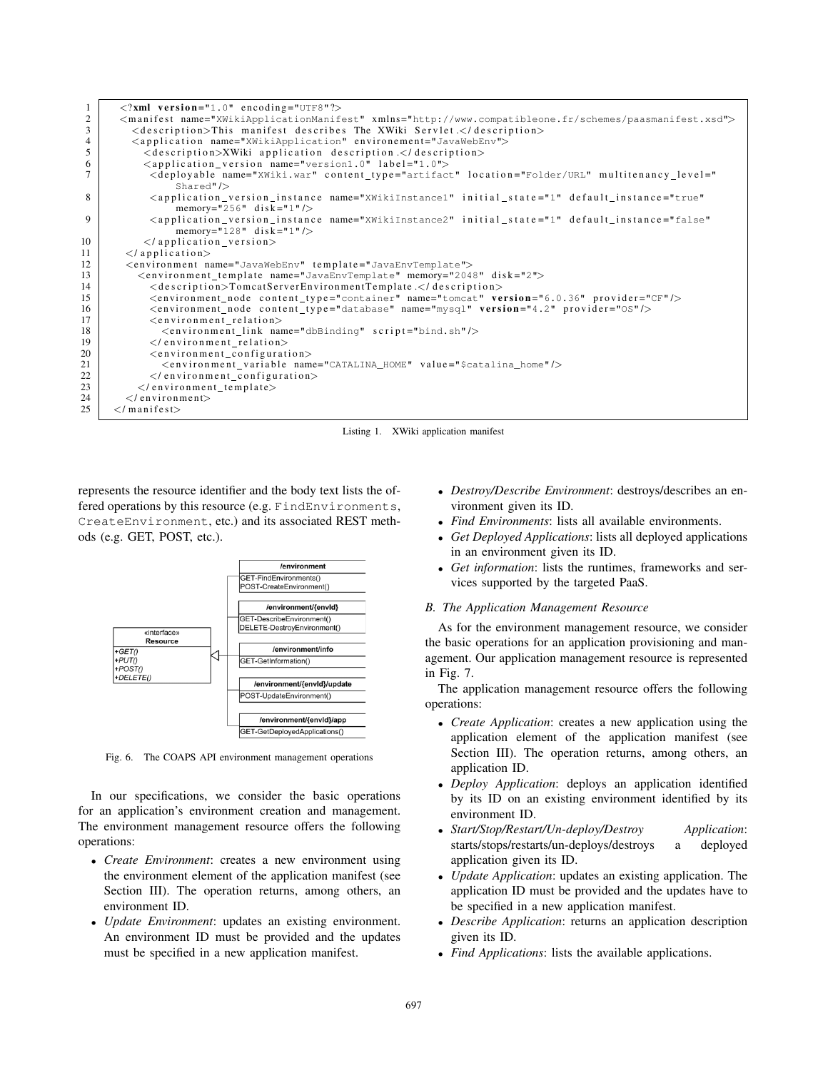| 1              | $\langle$ ?xml version="1.0" encoding="UTF8"?>                                                                                                                                                                                  |
|----------------|---------------------------------------------------------------------------------------------------------------------------------------------------------------------------------------------------------------------------------|
| 2              | <manifest name="XWikiApplicationManifest" xmlns="http://www.compatibleone.fr/schemes/paasmanifest.xsd"></manifest>                                                                                                              |
| $\mathfrak{Z}$ | <description>This manifest describes The XWiki Servlet.</description>                                                                                                                                                           |
| $\overline{4}$ | <application environement="JavaWebEnv" name="XWikiApplication"></application>                                                                                                                                                   |
| 5              | <description>XWiki application description.</description>                                                                                                                                                                       |
| 6              | <application_version label="1.0" name="version1.0"></application_version>                                                                                                                                                       |
| $\overline{7}$ | <deployable <="" content_type="artifact" location="Folder/URL" multitenancy_level="&lt;br&gt;Shared" name="XWiki.war" td=""></deployable>                                                                                       |
| 8              | <application_version_instance_name="xwikiinstance1"_initial_state="1"_default_instance="true"<br>memory="256" disk="1"/&gt;</application_version_instance_name="xwikiinstance1"_initial_state="1"_default_instance="true"<br>   |
| 9              | <application_version_instance_name="xwikiinstance2"_initial_state="1"_default_instance="false"<br>memory="128" disk="1"/&gt;</application_version_instance_name="xwikiinstance2"_initial_state="1"_default_instance="false"<br> |
| 10             | $\langle$ application version >                                                                                                                                                                                                 |
| 11             | $\langle$ application $\rangle$                                                                                                                                                                                                 |
| 12             | <environment name="JavaWebEnv" template="JavaEnvTemplate"></environment>                                                                                                                                                        |
| 13             | <environment_template disk="2" memory="2048" name="JavaEnvTemplate"></environment_template>                                                                                                                                     |
| 14             | <description>TomcatServerEnvironmentTemplate </description>                                                                                                                                                                     |
| 15             | <environment_node content_type="container" name="tomcat" provider="CF" version="6.0.36"></environment_node>                                                                                                                     |
| 16             | <environment_node content_type="database" name="mysql" provider="0S" version="4.2"></environment_node>                                                                                                                          |
| 17             | $\langle$ environment_relation $\rangle$                                                                                                                                                                                        |
| 18             | <environment_link name="dbBinding" script="bind.sh"></environment_link>                                                                                                                                                         |
| 19             | $\langle$ /environment relation $>$                                                                                                                                                                                             |
| 20             | <environment_configuration></environment_configuration>                                                                                                                                                                         |
| 21             | <environment_variable name="CATALINA_HOME" value="\$catalina_home"></environment_variable>                                                                                                                                      |
| 22             | $\langle$ /environment_configuration>                                                                                                                                                                                           |
| 23             | $\langle$ /environment_template>                                                                                                                                                                                                |
| 24             | $\langle$ /environment $\rangle$                                                                                                                                                                                                |
| 25             | $\langle$ /manifest $\rangle$                                                                                                                                                                                                   |
|                |                                                                                                                                                                                                                                 |

Listing 1. XWiki application manifest

represents the resource identifier and the body text lists the offered operations by this resource (e.g. FindEnvironments, CreateEnvironment, etc.) and its associated REST methods (e.g. GET, POST, etc.).



Fig. 6. The COAPS API environment management operations

In our specifications, we consider the basic operations for an application's environment creation and management. The environment management resource offers the following operations:

- *Create Environment*: creates a new environment using the environment element of the application manifest (see Section III). The operation returns, among others, an environment ID.
- *Update Environment*: updates an existing environment. An environment ID must be provided and the updates must be specified in a new application manifest.
- *Destroy/Describe Environment*: destroys/describes an environment given its ID.
- *Find Environments*: lists all available environments.
- *Get Deployed Applications*: lists all deployed applications in an environment given its ID.
- *Get information*: lists the runtimes, frameworks and services supported by the targeted PaaS.

## *B. The Application Management Resource*

As for the environment management resource, we consider the basic operations for an application provisioning and management. Our application management resource is represented in Fig. 7.

The application management resource offers the following operations:

- *Create Application*: creates a new application using the application element of the application manifest (see Section III). The operation returns, among others, an application ID.
- *Deploy Application*: deploys an application identified by its ID on an existing environment identified by its environment ID.
- *Start/Stop/Restart/Un-deploy/Destroy Application*: starts/stops/restarts/un-deploys/destroys a application given its ID.
- *Update Application*: updates an existing application. The application ID must be provided and the updates have to be specified in a new application manifest.
- *Describe Application*: returns an application description given its ID.
- *Find Applications*: lists the available applications.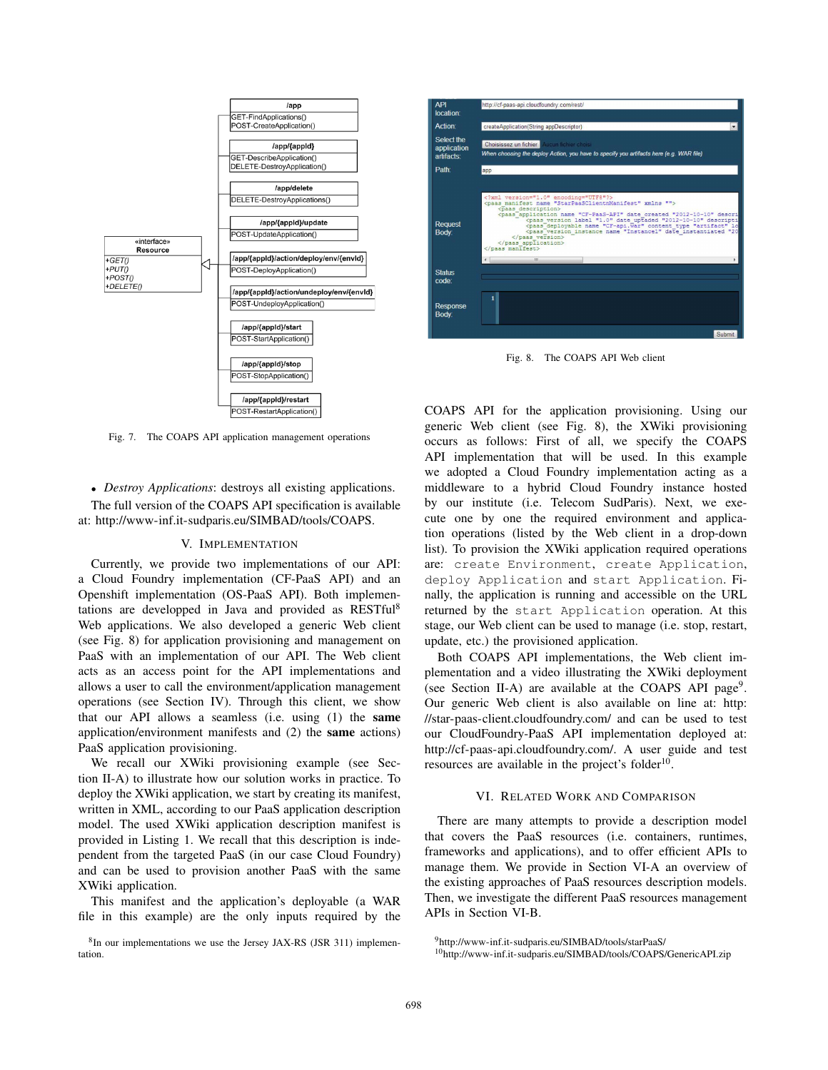

Fig. 7. The COAPS API application management operations

• *Destroy Applications*: destroys all existing applications. The full version of the COAPS API specification is available at: http://www-inf.it-sudparis.eu/SIMBAD/tools/COAPS.

#### V. IMPLEMENTATION

Currently, we provide two implementations of our API: a Cloud Foundry implementation (CF-PaaS API) and an Openshift implementation (OS-PaaS API). Both implementations are developped in Java and provided as RESTful8 Web applications. We also developed a generic Web client (see Fig. 8) for application provisioning and management on PaaS with an implementation of our API. The Web client acts as an access point for the API implementations and allows a user to call the environment/application management operations (see Section IV). Through this client, we show that our API allows a seamless (i.e. using (1) the same application/environment manifests and (2) the same actions) PaaS application provisioning.

We recall our XWiki provisioning example (see Section II-A) to illustrate how our solution works in practice. To deploy the XWiki application, we start by creating its manifest, written in XML, according to our PaaS application description model. The used XWiki application description manifest is provided in Listing 1. We recall that this description is independent from the targeted PaaS (in our case Cloud Foundry) and can be used to provision another PaaS with the same XWiki application.

This manifest and the application's deployable (a WAR file in this example) are the only inputs required by the



Fig. 8. The COAPS API Web client

COAPS API for the application provisioning. Using our generic Web client (see Fig. 8), the XWiki provisioning occurs as follows: First of all, we specify the COAPS API implementation that will be used. In this example we adopted a Cloud Foundry implementation acting as a middleware to a hybrid Cloud Foundry instance hosted by our institute (i.e. Telecom SudParis). Next, we execute one by one the required environment and application operations (listed by the Web client in a drop-down list). To provision the XWiki application required operations are: create Environment, create Application, deploy Application and start Application. Finally, the application is running and accessible on the URL returned by the start Application operation. At this stage, our Web client can be used to manage (i.e. stop, restart, update, etc.) the provisioned application.

Both COAPS API implementations, the Web client implementation and a video illustrating the XWiki deployment (see Section II-A) are available at the COAPS API page<sup>9</sup>. Our generic Web client is also available on line at: http: //star-paas-client.cloudfoundry.com/ and can be used to test our CloudFoundry-PaaS API implementation deployed at: http://cf-paas-api.cloudfoundry.com/. A user guide and test resources are available in the project's folder $10$ .

## VI. RELATED WORK AND COMPARISON

There are many attempts to provide a description model that covers the PaaS resources (i.e. containers, runtimes, frameworks and applications), and to offer efficient APIs to manage them. We provide in Section VI-A an overview of the existing approaches of PaaS resources description models. Then, we investigate the different PaaS resources management APIs in Section VI-B.

<sup>8</sup>In our implementations we use the Jersey JAX-RS (JSR 311) implementation.

<sup>9</sup>http://www-inf.it-sudparis.eu/SIMBAD/tools/starPaaS/

<sup>10</sup>http://www-inf.it-sudparis.eu/SIMBAD/tools/COAPS/GenericAPI.zip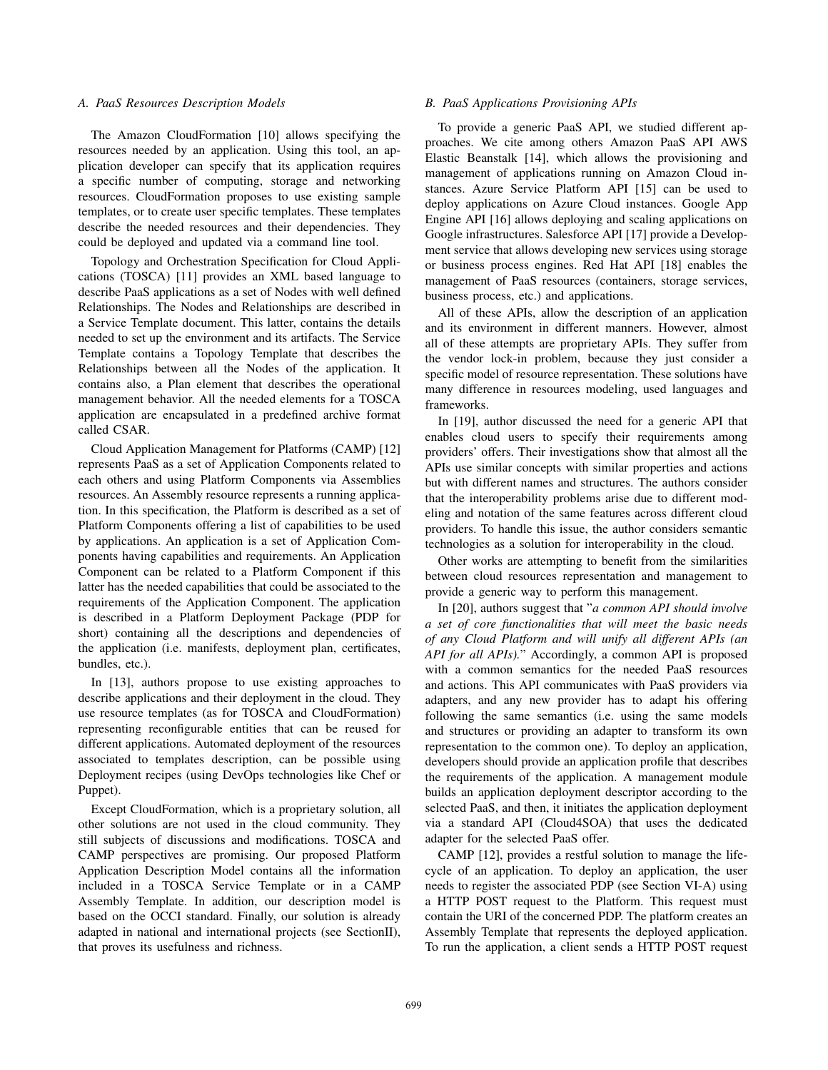## *A. PaaS Resources Description Models*

The Amazon CloudFormation [10] allows specifying the resources needed by an application. Using this tool, an application developer can specify that its application requires a specific number of computing, storage and networking resources. CloudFormation proposes to use existing sample templates, or to create user specific templates. These templates describe the needed resources and their dependencies. They could be deployed and updated via a command line tool.

Topology and Orchestration Specification for Cloud Applications (TOSCA) [11] provides an XML based language to describe PaaS applications as a set of Nodes with well defined Relationships. The Nodes and Relationships are described in a Service Template document. This latter, contains the details needed to set up the environment and its artifacts. The Service Template contains a Topology Template that describes the Relationships between all the Nodes of the application. It contains also, a Plan element that describes the operational management behavior. All the needed elements for a TOSCA application are encapsulated in a predefined archive format called CSAR.

Cloud Application Management for Platforms (CAMP) [12] represents PaaS as a set of Application Components related to each others and using Platform Components via Assemblies resources. An Assembly resource represents a running application. In this specification, the Platform is described as a set of Platform Components offering a list of capabilities to be used by applications. An application is a set of Application Components having capabilities and requirements. An Application Component can be related to a Platform Component if this latter has the needed capabilities that could be associated to the requirements of the Application Component. The application is described in a Platform Deployment Package (PDP for short) containing all the descriptions and dependencies of the application (i.e. manifests, deployment plan, certificates, bundles, etc.).

In [13], authors propose to use existing approaches to describe applications and their deployment in the cloud. They use resource templates (as for TOSCA and CloudFormation) representing reconfigurable entities that can be reused for different applications. Automated deployment of the resources associated to templates description, can be possible using Deployment recipes (using DevOps technologies like Chef or Puppet).

Except CloudFormation, which is a proprietary solution, all other solutions are not used in the cloud community. They still subjects of discussions and modifications. TOSCA and CAMP perspectives are promising. Our proposed Platform Application Description Model contains all the information included in a TOSCA Service Template or in a CAMP Assembly Template. In addition, our description model is based on the OCCI standard. Finally, our solution is already adapted in national and international projects (see SectionII), that proves its usefulness and richness.

## *B. PaaS Applications Provisioning APIs*

To provide a generic PaaS API, we studied different approaches. We cite among others Amazon PaaS API AWS Elastic Beanstalk [14], which allows the provisioning and management of applications running on Amazon Cloud instances. Azure Service Platform API [15] can be used to deploy applications on Azure Cloud instances. Google App Engine API [16] allows deploying and scaling applications on Google infrastructures. Salesforce API [17] provide a Development service that allows developing new services using storage or business process engines. Red Hat API [18] enables the management of PaaS resources (containers, storage services, business process, etc.) and applications.

All of these APIs, allow the description of an application and its environment in different manners. However, almost all of these attempts are proprietary APIs. They suffer from the vendor lock-in problem, because they just consider a specific model of resource representation. These solutions have many difference in resources modeling, used languages and frameworks.

In [19], author discussed the need for a generic API that enables cloud users to specify their requirements among providers' offers. Their investigations show that almost all the APIs use similar concepts with similar properties and actions but with different names and structures. The authors consider that the interoperability problems arise due to different modeling and notation of the same features across different cloud providers. To handle this issue, the author considers semantic technologies as a solution for interoperability in the cloud.

Other works are attempting to benefit from the similarities between cloud resources representation and management to provide a generic way to perform this management.

In [20], authors suggest that "*a common API should involve a set of core functionalities that will meet the basic needs of any Cloud Platform and will unify all different APIs (an API for all APIs).*" Accordingly, a common API is proposed with a common semantics for the needed PaaS resources and actions. This API communicates with PaaS providers via adapters, and any new provider has to adapt his offering following the same semantics (i.e. using the same models and structures or providing an adapter to transform its own representation to the common one). To deploy an application, developers should provide an application profile that describes the requirements of the application. A management module builds an application deployment descriptor according to the selected PaaS, and then, it initiates the application deployment via a standard API (Cloud4SOA) that uses the dedicated adapter for the selected PaaS offer.

CAMP [12], provides a restful solution to manage the lifecycle of an application. To deploy an application, the user needs to register the associated PDP (see Section VI-A) using a HTTP POST request to the Platform. This request must contain the URI of the concerned PDP. The platform creates an Assembly Template that represents the deployed application. To run the application, a client sends a HTTP POST request